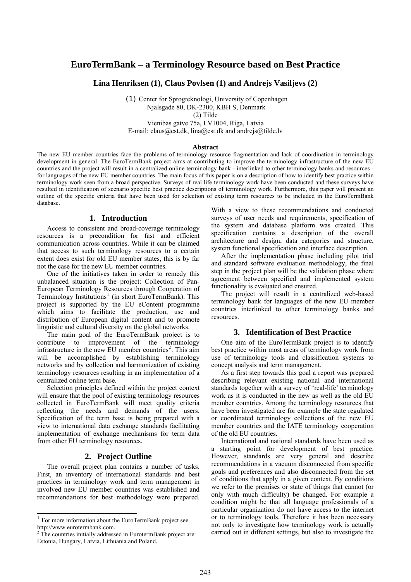# **EuroTermBank – a Terminology Resource based on Best Practice**

**Lina Henriksen (1), Claus Povlsen (1) and Andrejs Vasiljevs (2)** 

 (1) Center for Sprogteknologi, University of Copenhagen Njalsgade 80, DK-2300, KBH S, Denmark (2) Tilde

Vienibas gatve 75a, LV1004, Riga, Latvia E-mail: claus@cst.dk, lina@cst.dk and andrejs@tilde.lv

#### **Abstract**

The new EU member countries face the problems of terminology resource fragmentation and lack of coordination in terminology development in general. The EuroTermBank project aims at contributing to improve the terminology infrastructure of the new EU countries and the project will result in a centralized online terminology bank - interlinked to other terminology banks and resources for languages of the new EU member countries. The main focus of this paper is on a description of how to identify best practice within terminology work seen from a broad perspective. Surveys of real life terminology work have been conducted and these surveys have resulted in identification of scenario specific best practice descriptions of terminology work. Furthermore, this paper will present an outline of the specific criteria that have been used for selection of existing term resources to be included in the EuroTermBank database.

# **1. Introduction**

Access to consistent and broad-coverage terminology resources is a precondition for fast and efficient communication across countries. While it can be claimed that access to such terminology resources to a certain extent does exist for old EU member states, this is by far not the case for the new EU member countries.

One of the initiatives taken in order to remedy this unbalanced situation is the project: Collection of Pan-European Terminology Resources through Cooperation of Terminology Institutions<sup>[1](#page-0-0)</sup> (in short EuroTermBank). This project is supported by the EU eContent programme which aims to facilitate the production, use and distribution of European digital content and to promote linguistic and cultural diversity on the global networks.

The main goal of the EuroTermBank project is to contribute to improvement of the terminology infrastructure in the new EU member countries<sup>[2](#page-0-1)</sup>. This aim will be accomplished by establishing terminology networks and by collection and harmonization of existing terminology resources resulting in an implementation of a centralized online term base.

Selection principles defined within the project context will ensure that the pool of existing terminology resources collected in EuroTermBank will meet quality criteria reflecting the needs and demands of the users. Specification of the term base is being prepared with a view to international data exchange standards facilitating implementation of exchange mechanisms for term data from other EU terminology resources.

# **2. Project Outline**

The overall project plan contains a number of tasks. First, an inventory of international standards and best practices in terminology work and term management in involved new EU member countries was established and recommendations for best methodology were prepared.

 $\overline{1}$ 

With a view to these recommendations and conducted surveys of user needs and requirements, specification of the system and database platform was created. This specification contains a description of the overall architecture and design, data categories and structure, system functional specification and interface description.

After the implementation phase including pilot trial and standard software evaluation methodology, the final step in the project plan will be the validation phase where agreement between specified and implemented system functionality is evaluated and ensured.

The project will result in a centralized web-based terminology bank for languages of the new EU member countries interlinked to other terminology banks and resources.

# **3. Identification of Best Practice**

One aim of the EuroTermBank project is to identify best practice within most areas of terminology work from use of terminology tools and classification systems to concept analysis and term management.

As a first step towards this goal a report was prepared describing relevant existing national and international standards together with a survey of 'real-life' terminology work as it is conducted in the new as well as the old EU member countries. Among the terminology resources that have been investigated are for example the state regulated or coordinated terminology collections of the new EU member countries and the IATE terminology cooperation of the old EU countries.

International and national standards have been used as a starting point for development of best practice. However, standards are very general and describe recommendations in a vacuum disconnected from specific goals and preferences and also disconnected from the set of conditions that apply in a given context. By conditions we refer to the premises or state of things that cannot (or only with much difficulty) be changed. For example a condition might be that all language professionals of a particular organization do not have access to the internet or to terminology tools. Therefore it has been necessary not only to investigate how terminology work is actually carried out in different settings, but also to investigate the

<span id="page-0-0"></span> $1$  For more information about the EuroTermBank project see http://www.eurotermbank.com.

<span id="page-0-1"></span> $2$  The countries initially addressed in EurotermBank project are: Estonia, Hungary, Latvia, Lithuania and Poland.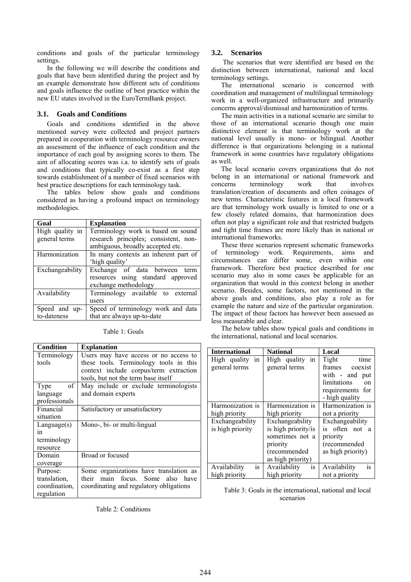conditions and goals of the particular terminology settings.

In the following we will describe the conditions and goals that have been identified during the project and by an example demonstrate how different sets of conditions and goals influence the outline of best practice within the new EU states involved in the EuroTermBank project.

# **3.1. Goals and Conditions**

Goals and conditions identified in the above mentioned survey were collected and project partners prepared in cooperation with terminology resource owners an assessment of the influence of each condition and the importance of each goal by assigning scores to them. The aim of allocating scores was i.a. to identify sets of goals and conditions that typically co-exist as a first step towards establishment of a number of fixed scenarios with best practice descriptions for each terminology task.

The tables below show goals and conditions considered as having a profound impact on terminology methodologies.

| Goal            | <b>Explanation</b>                    |  |  |
|-----------------|---------------------------------------|--|--|
| High quality in | Terminology work is based on sound    |  |  |
| general terms   | research principles; consistent, non- |  |  |
|                 | ambiguous, broadly accepted etc.      |  |  |
| Harmonization   | In many contexts an inherent part of  |  |  |
|                 | 'high quality'                        |  |  |
| Exchangeability | Exchange of data between<br>term      |  |  |
|                 | resources using standard approved     |  |  |
|                 | exchange methodology                  |  |  |
| Availability    | Terminology available to external     |  |  |
|                 | users                                 |  |  |
| Speed and up-   | Speed of terminology work and data    |  |  |
| to-dateness     | that are always up-to-date            |  |  |

| <b>Condition</b> | <b>Explanation</b>                      |  |
|------------------|-----------------------------------------|--|
| Terminology      | Users may have access or no access to   |  |
| tools            | these tools. Terminology tools in this  |  |
|                  | context include corpus/term extraction  |  |
|                  | tools, but not the term base itself     |  |
| of<br>Type       | May include or exclude terminologists   |  |
| language         | and domain experts                      |  |
| professionals    |                                         |  |
| Financial        | Satisfactory or unsatisfactory          |  |
| situation        |                                         |  |
| Language(s)      | Mono-, bi- or multi-lingual             |  |
| in               |                                         |  |
| terminology      |                                         |  |
| resource         |                                         |  |
| Domain           | Broad or focused                        |  |
| coverage         |                                         |  |
| Purpose:         | Some organizations have translation as  |  |
| translation,     | their<br>main focus. Some also have     |  |
| coordination,    | coordinating and regulatory obligations |  |
| regulation       |                                         |  |

#### Table 1: Goals

Table 2: Conditions

#### **3.2. Scenarios**

 The scenarios that were identified are based on the distinction between international, national and local terminology settings.

The international scenario is concerned with coordination and management of multilingual terminology work in a well-organized infrastructure and primarily concerns approval/dismissal and harmonization of terms.

The main activities in a national scenario are similar to those of an international scenario though one main distinctive element is that terminology work at the national level usually is mono- or bilingual. Another difference is that organizations belonging in a national framework in some countries have regulatory obligations as well.

The local scenario covers organizations that do not belong in an international or national framework and concerns terminology work that involves translation/creation of documents and often coinages of new terms. Characteristic features in a local framework are that terminology work usually is limited to one or a few closely related domains, that harmonization does often not play a significant role and that restricted budgets and tight time frames are more likely than in national or international frameworks.

These three scenarios represent schematic frameworks of terminology work. Requirements, aims and<br>circumstances can differ some, even within one circumstances can differ some, even within one framework. Therefore best practice described for one scenario may also in some cases be applicable for an organization that would in this context belong in another scenario. Besides, some factors, not mentioned in the above goals and conditions, also play a role as for example the nature and size of the particular organization. The impact of these factors has however been assessed as less measurable and clear.

The below tables show typical goals and conditions in the international, national and local scenarios.

| <b>International</b> | <b>National</b>     | Local                         |
|----------------------|---------------------|-------------------------------|
| High quality<br>in   | High quality<br>in  | Tight<br>time                 |
| general terms        | general terms       | frames<br>coexist             |
|                      |                     | with - and put                |
|                      |                     | limitations<br>on             |
|                      |                     | requirements for              |
|                      |                     | - high quality                |
| Harmonization is     | Harmonization is    | Harmonization is              |
| high priority        | high priority       | not a priority                |
| Exchangeability      | Exchangeability     | Exchangeability               |
| is high priority     | is high priority/is | is often not<br>- a           |
|                      | sometimes not a     | priority                      |
|                      | priority            | (recommended                  |
|                      | (recommended        | as high priority)             |
|                      | as high priority)   |                               |
| Availability<br>1S   | Availability<br>is. | Availability<br><sub>1s</sub> |
| high priority        | high priority       | not a priority                |

Table 3: Goals in the international, national and local scenarios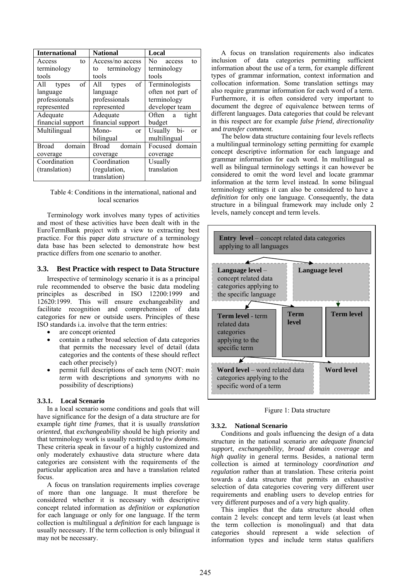| <b>International</b>   | <b>National</b>        | Local                        |
|------------------------|------------------------|------------------------------|
| Access<br>to           | Access/no access       | No<br>access<br>to           |
| terminology            | terminology<br>to      | terminology                  |
| tools                  | tools                  | tools                        |
| οf<br>All<br>types     | of<br>All<br>types     | Terminologists               |
| language               | language               | often not part of            |
| professionals          | professionals          | terminology                  |
| represented            | represented            | developer team               |
| Adequate               | Adequate               | Often a<br>tight             |
| financial support      | financial support      | budget                       |
| Multilingual           | Mono-<br><sub>or</sub> | Usually bi-<br><sub>or</sub> |
|                        | bilingual              | multilingual                 |
| <b>Broad</b><br>domain | Broad<br>domain        | Focused domain               |
| coverage               | coverage               | coverage                     |
| Coordination           | Coordination           | Usually                      |
| (translation)          | (regulation,           | translation                  |
|                        | translation)           |                              |

Table 4: Conditions in the international, national and local scenarios

Terminology work involves many types of activities and most of these activities have been dealt with in the EuroTermBank project with a view to extracting best practice. For this paper *data structure* of a terminology data base has been selected to demonstrate how best practice differs from one scenario to another.

#### **3.3. Best Practice with respect to Data Structure**

Irrespective of terminology scenario it is as a principal rule recommended to observe the basic data modeling principles as described in ISO 12200:1999 and 12620:1999. This will ensure exchangeability and facilitate recognition and comprehension of data categories for new or outside users. Principles of these ISO standards i.a. involve that the term entries:

- are concept oriented
- contain a rather broad selection of data categories that permits the necessary level of detail (data categories and the contents of these should reflect each other precisely)
- permit full descriptions of each term (NOT: *main term* with descriptions and *synonyms* with no possibility of descriptions)

### **3.3.1. Local Scenario**

In a local scenario some conditions and goals that will have significance for the design of a data structure are for example *tight time frames,* that it is usually *translation oriented*, that *exchangeability* should be high priority and that terminology work is usually restricted to *few domains*. These criteria speak in favour of a highly customized and only moderately exhaustive data structure where data categories are consistent with the requirements of the particular application area and have a translation related focus.

A focus on translation requirements implies coverage of more than one language. It must therefore be considered whether it is necessary with descriptive concept related information as *definition* or *explanation*  for each language or only for one language. If the term collection is multilingual a *definition* for each language is usually necessary. If the term collection is only bilingual it may not be necessary.

A focus on translation requirements also indicates inclusion of data categories permitting sufficient information about the use of a term, for example different types of grammar information, context information and collocation information. Some translation settings may also require grammar information for each word of a term. Furthermore, it is often considered very important to document the degree of equivalence between terms of different languages. Data categories that could be relevant in this respect are for example *false friend, directionality* and *transfer comment.*

The below data structure containing four levels reflects a multilingual terminology setting permitting for example concept descriptive information for each language and grammar information for each word. In multilingual as well as bilingual terminology settings it can however be considered to omit the word level and locate grammar information at the term level instead. In some bilingual terminology settings it can also be considered to have a *definition* for only one language. Consequently, the data structure in a bilingual framework may include only 2 levels, namely concept and term levels.



Figure 1: Data structure

#### **3.3.2. National Scenario**

Conditions and goals influencing the design of a data structure in the national scenario are *adequate financial support*, *exchangeability, broad domain coverage* and *high quality* in general terms. Besides, a national term collection is aimed at terminology *coordination and regulation* rather than at translation. These criteria point towards a data structure that permits an exhaustive selection of data categories covering very different user requirements and enabling users to develop entries for very different purposes and of a very high quality.

This implies that the data structure should often contain 2 levels: concept and term levels (at least when the term collection is monolingual) and that data categories should represent a wide selection of information types and include term status qualifiers